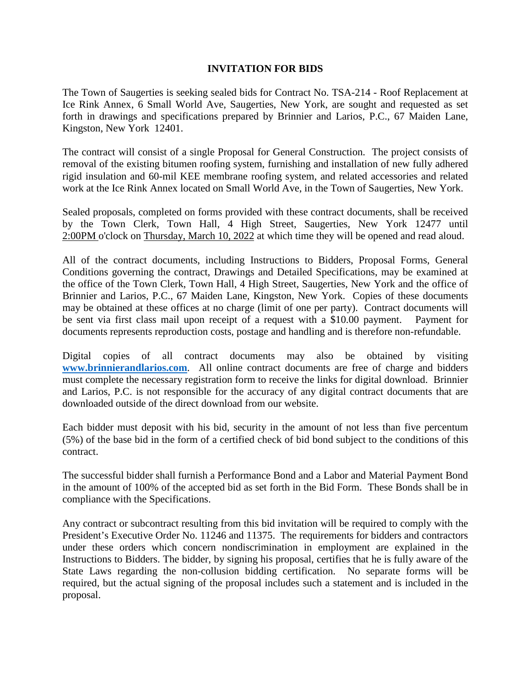## **INVITATION FOR BIDS**

The Town of Saugerties is seeking sealed bids for Contract No. TSA-214 - Roof Replacement at Ice Rink Annex, 6 Small World Ave, Saugerties, New York, are sought and requested as set forth in drawings and specifications prepared by Brinnier and Larios, P.C., 67 Maiden Lane, Kingston, New York 12401.

The contract will consist of a single Proposal for General Construction. The project consists of removal of the existing bitumen roofing system, furnishing and installation of new fully adhered rigid insulation and 60-mil KEE membrane roofing system, and related accessories and related work at the Ice Rink Annex located on Small World Ave, in the Town of Saugerties, New York.

Sealed proposals, completed on forms provided with these contract documents, shall be received by the Town Clerk, Town Hall, 4 High Street, Saugerties, New York 12477 until 2:00PM o'clock on Thursday, March 10, 2022 at which time they will be opened and read aloud.

All of the contract documents, including Instructions to Bidders, Proposal Forms, General Conditions governing the contract, Drawings and Detailed Specifications, may be examined at the office of the Town Clerk, Town Hall, 4 High Street, Saugerties, New York and the office of Brinnier and Larios, P.C., 67 Maiden Lane, Kingston, New York. Copies of these documents may be obtained at these offices at no charge (limit of one per party). Contract documents will be sent via first class mail upon receipt of a request with a \$10.00 payment. Payment for documents represents reproduction costs, postage and handling and is therefore non-refundable.

Digital copies of all contract documents may also be obtained by visiting **[www.brinnierandlarios.com](http://www.brinnierandlarios.com/)**. All online contract documents are free of charge and bidders must complete the necessary registration form to receive the links for digital download. Brinnier and Larios, P.C. is not responsible for the accuracy of any digital contract documents that are downloaded outside of the direct download from our website.

Each bidder must deposit with his bid, security in the amount of not less than five percentum (5%) of the base bid in the form of a certified check of bid bond subject to the conditions of this contract.

The successful bidder shall furnish a Performance Bond and a Labor and Material Payment Bond in the amount of 100% of the accepted bid as set forth in the Bid Form. These Bonds shall be in compliance with the Specifications.

Any contract or subcontract resulting from this bid invitation will be required to comply with the President's Executive Order No. 11246 and 11375. The requirements for bidders and contractors under these orders which concern nondiscrimination in employment are explained in the Instructions to Bidders. The bidder, by signing his proposal, certifies that he is fully aware of the State Laws regarding the non-collusion bidding certification. No separate forms will be required, but the actual signing of the proposal includes such a statement and is included in the proposal.